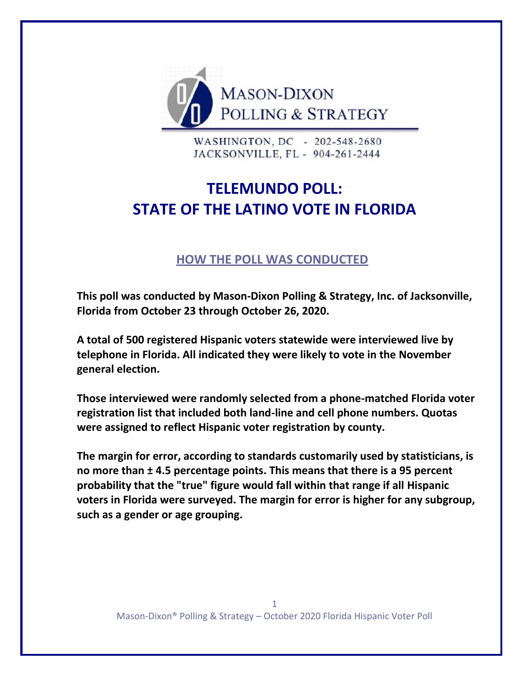

WASHINGTON, DC - 202-548-2680 JACKSONVILLE, FL - 904-261-2444

## **TELEMUNDO POLL: STATE OF THE LATINO VOTE IN FLORIDA**

## **HOW THE POLL WAS CONDUCTED**

**This poll was conducted by Mason-Dixon Polling & Strategy, Inc. of Jacksonville, Florida from October 23 through October 26, 2020.** 

**A total of 500 registered Hispanic voters statewide were interviewed live by telephone in Florida. All indicated they were likely to vote in the November general election.**

**Those interviewed were randomly selected from a phone-matched Florida voter registration list that included both land-line and cell phone numbers. Quotas were assigned to reflect Hispanic voter registration by county.**

**The margin for error, according to standards customarily used by statisticians, is no more than ± 4.5 percentage points. This means that there is a 95 percent probability that the "true" figure would fall within that range if all Hispanic voters in Florida were surveyed. The margin for error is higher for any subgroup, such as a gender or age grouping.**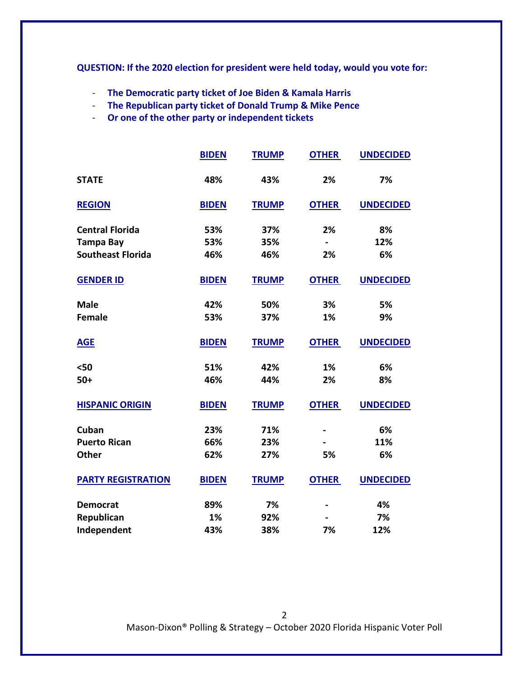**QUESTION: If the 2020 election for president were held today, would you vote for:**

- **The Democratic party ticket of Joe Biden & Kamala Harris**
- **The Republican party ticket of Donald Trump & Mike Pence**
- **Or one of the other party or independent tickets**

|                           | <b>BIDEN</b> | <b>TRUMP</b> | <b>OTHER</b> | <b>UNDECIDED</b> |
|---------------------------|--------------|--------------|--------------|------------------|
| <b>STATE</b>              | 48%          | 43%          | 2%           | 7%               |
| <b>REGION</b>             | <b>BIDEN</b> | <b>TRUMP</b> | <b>OTHER</b> | <b>UNDECIDED</b> |
| <b>Central Florida</b>    | 53%          | 37%          | 2%           | 8%               |
| <b>Tampa Bay</b>          | 53%          | 35%          |              | 12%              |
| <b>Southeast Florida</b>  | 46%          | 46%          | 2%           | 6%               |
| <b>GENDER ID</b>          | <b>BIDEN</b> | <b>TRUMP</b> | <b>OTHER</b> | <b>UNDECIDED</b> |
| <b>Male</b>               | 42%          | 50%          | 3%           | 5%               |
| <b>Female</b>             | 53%          | 37%          | 1%           | 9%               |
| <b>AGE</b>                | <b>BIDEN</b> | <b>TRUMP</b> | <b>OTHER</b> | <b>UNDECIDED</b> |
| $50$                      | 51%          | 42%          | 1%           | 6%               |
| $50+$                     | 46%          | 44%          | 2%           | 8%               |
| <b>HISPANIC ORIGIN</b>    | <b>BIDEN</b> | <b>TRUMP</b> | <b>OTHER</b> | <b>UNDECIDED</b> |
| Cuban                     | 23%          | 71%          |              | 6%               |
| <b>Puerto Rican</b>       | 66%          | 23%          |              | 11%              |
| <b>Other</b>              | 62%          | 27%          | 5%           | 6%               |
| <b>PARTY REGISTRATION</b> | <b>BIDEN</b> | <b>TRUMP</b> | <b>OTHER</b> | <b>UNDECIDED</b> |
| <b>Democrat</b>           | 89%          | 7%           |              | 4%               |
| Republican                | 1%           | 92%          |              | 7%               |
| Independent               | 43%          | 38%          | 7%           | 12%              |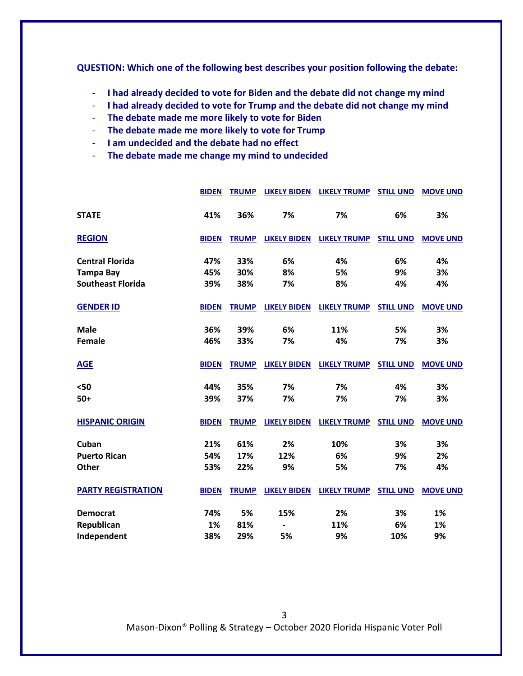**QUESTION: Which one of the following best describes your position following the debate:**

- **I had already decided to vote for Biden and the debate did not change my mind**
- **I had already decided to vote for Trump and the debate did not change my mind**
- **The debate made me more likely to vote for Biden**
- **The debate made me more likely to vote for Trump**
- **I am undecided and the debate had no effect**
- **The debate made me change my mind to undecided**

|                           | <b>BIDEN</b> | <b>TRUMP</b> | <b>LIKELY BIDEN</b> | <b>LIKELY TRUMP</b> | <b>STILL UND</b> | <b>MOVE UND</b> |
|---------------------------|--------------|--------------|---------------------|---------------------|------------------|-----------------|
| <b>STATE</b>              | 41%          | 36%          | 7%                  | 7%                  | 6%               | 3%              |
| <b>REGION</b>             | <b>BIDEN</b> | <b>TRUMP</b> | <b>LIKELY BIDEN</b> | <b>LIKELY TRUMP</b> | <b>STILL UND</b> | <b>MOVE UND</b> |
| <b>Central Florida</b>    | 47%          | 33%          | 6%                  | 4%                  | 6%               | 4%              |
| <b>Tampa Bay</b>          | 45%          | 30%          | 8%                  | 5%                  | 9%               | 3%              |
| <b>Southeast Florida</b>  | 39%          | 38%          | 7%                  | 8%                  | 4%               | 4%              |
| <b>GENDER ID</b>          | <b>BIDEN</b> | <b>TRUMP</b> | <b>LIKELY BIDEN</b> | <b>LIKELY TRUMP</b> | <b>STILL UND</b> | <b>MOVE UND</b> |
| <b>Male</b>               | 36%          | 39%          | 6%                  | 11%                 | 5%               | 3%              |
| <b>Female</b>             | 46%          | 33%          | 7%                  | 4%                  | 7%               | 3%              |
| <b>AGE</b>                | <b>BIDEN</b> | <b>TRUMP</b> | <b>LIKELY BIDEN</b> | <b>LIKELY TRUMP</b> | <b>STILL UND</b> | <b>MOVE UND</b> |
| $50$                      | 44%          | 35%          | 7%                  | 7%                  | 4%               | 3%              |
| $50+$                     | 39%          | 37%          | 7%                  | 7%                  | 7%               | 3%              |
| <b>HISPANIC ORIGIN</b>    | <b>BIDEN</b> | <b>TRUMP</b> | <b>LIKELY BIDEN</b> | <b>LIKELY TRUMP</b> | <b>STILL UND</b> | <b>MOVE UND</b> |
| Cuban                     | 21%          | 61%          | 2%                  | 10%                 | 3%               | 3%              |
| <b>Puerto Rican</b>       | 54%          | 17%          | 12%                 | 6%                  | 9%               | 2%              |
| <b>Other</b>              | 53%          | 22%          | 9%                  | 5%                  | 7%               | 4%              |
| <b>PARTY REGISTRATION</b> | <b>BIDEN</b> | <b>TRUMP</b> | <b>LIKELY BIDEN</b> | <b>LIKELY TRUMP</b> | <b>STILL UND</b> | <b>MOVE UND</b> |
| <b>Democrat</b>           | 74%          | 5%           | 15%                 | 2%                  | 3%               | 1%              |
| Republican                | 1%           | 81%          |                     | 11%                 | 6%               | 1%              |
| Independent               | 38%          | 29%          | 5%                  | 9%                  | 10%              | 9%              |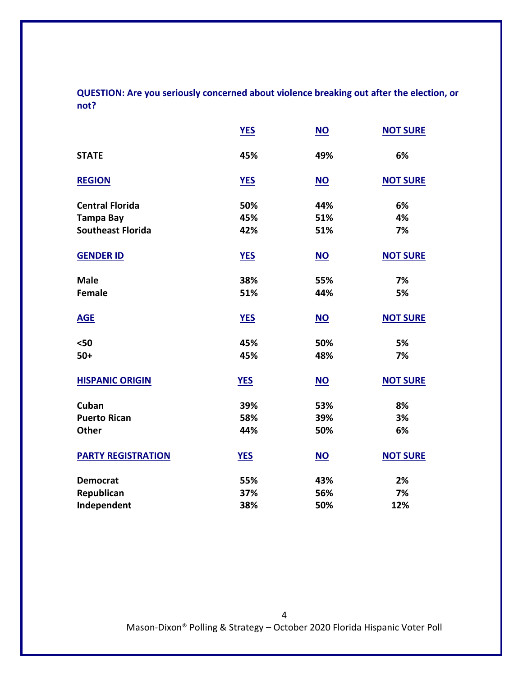**QUESTION: Are you seriously concerned about violence breaking out after the election, or not?**

|                           | <b>YES</b> | $\underline{\mathsf{NO}}$ | <b>NOT SURE</b> |
|---------------------------|------------|---------------------------|-----------------|
| <b>STATE</b>              | 45%        | 49%                       | 6%              |
| <b>REGION</b>             | <b>YES</b> | <b>NO</b>                 | <b>NOT SURE</b> |
| <b>Central Florida</b>    | 50%        | 44%                       | 6%              |
| <b>Tampa Bay</b>          | 45%        | 51%                       | 4%              |
| <b>Southeast Florida</b>  | 42%        | 51%                       | 7%              |
| <b>GENDER ID</b>          | <b>YES</b> | $NO$                      | <b>NOT SURE</b> |
| <b>Male</b>               | 38%        | 55%                       | 7%              |
| <b>Female</b>             | 51%        | 44%                       | 5%              |
| <b>AGE</b>                | <b>YES</b> | NO                        | <b>NOT SURE</b> |
| $50$                      | 45%        | 50%                       | 5%              |
| $50+$                     | 45%        | 48%                       | 7%              |
| <b>HISPANIC ORIGIN</b>    | <b>YES</b> | NO                        | <b>NOT SURE</b> |
| Cuban                     | 39%        | 53%                       | 8%              |
| <b>Puerto Rican</b>       | 58%        | 39%                       | 3%              |
| <b>Other</b>              | 44%        | 50%                       | 6%              |
| <b>PARTY REGISTRATION</b> | <b>YES</b> | $NO$                      | <b>NOT SURE</b> |
| <b>Democrat</b>           | 55%        | 43%                       | 2%              |
| Republican                | 37%        | 56%                       | 7%              |
| Independent               | 38%        | 50%                       | 12%             |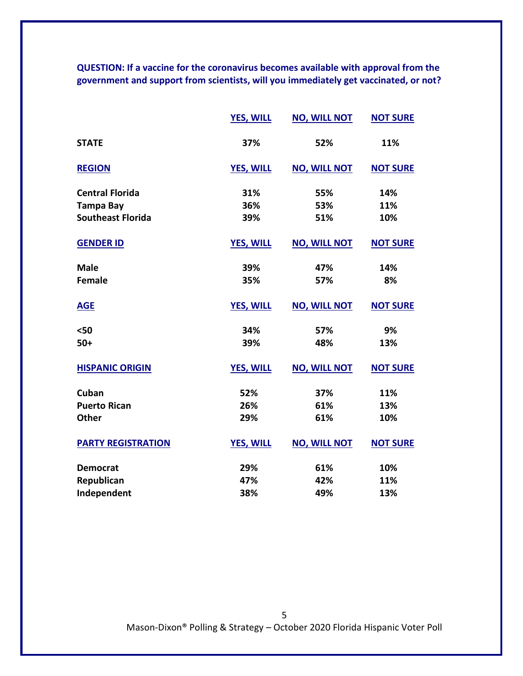**QUESTION: If a vaccine for the coronavirus becomes available with approval from the government and support from scientists, will you immediately get vaccinated, or not?** 

|                           | <b>YES, WILL</b> | <b>NO, WILL NOT</b> | <b>NOT SURE</b> |
|---------------------------|------------------|---------------------|-----------------|
| <b>STATE</b>              | 37%              | 52%                 | 11%             |
| <b>REGION</b>             | <b>YES, WILL</b> | <b>NO, WILL NOT</b> | <b>NOT SURE</b> |
| <b>Central Florida</b>    | 31%              | 55%                 | 14%             |
| <b>Tampa Bay</b>          | 36%              | 53%                 | 11%             |
| <b>Southeast Florida</b>  | 39%              | 51%                 | 10%             |
| <b>GENDER ID</b>          | <b>YES, WILL</b> | <b>NO, WILL NOT</b> | <b>NOT SURE</b> |
| <b>Male</b>               | 39%              | 47%                 | 14%             |
| <b>Female</b>             | 35%              | 57%                 | 8%              |
| <b>AGE</b>                | <b>YES, WILL</b> | <b>NO, WILL NOT</b> | <b>NOT SURE</b> |
| $50$                      | 34%              | 57%                 | 9%              |
| $50+$                     | 39%              | 48%                 | 13%             |
| <b>HISPANIC ORIGIN</b>    | <b>YES, WILL</b> | <b>NO, WILL NOT</b> | <b>NOT SURE</b> |
| Cuban                     | 52%              | 37%                 | 11%             |
| <b>Puerto Rican</b>       | 26%              | 61%                 | 13%             |
| <b>Other</b>              | 29%              | 61%                 | 10%             |
| <b>PARTY REGISTRATION</b> | <b>YES, WILL</b> | <b>NO, WILL NOT</b> | <b>NOT SURE</b> |
| <b>Democrat</b>           | 29%              | 61%                 | 10%             |
| Republican                | 47%              | 42%                 | 11%             |
| Independent               | 38%              | 49%                 | 13%             |

Mason-Dixon® Polling & Strategy – October 2020 Florida Hispanic Voter Poll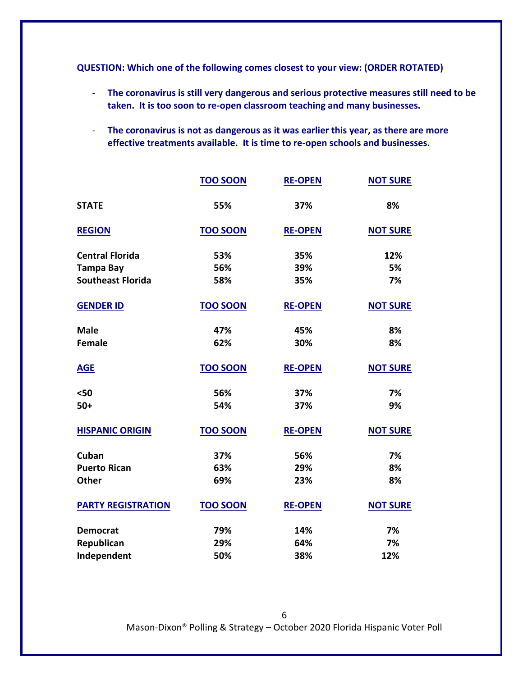**QUESTION: Which one of the following comes closest to your view: (ORDER ROTATED)**

- **The coronavirus is still very dangerous and serious protective measures still need to be taken. It is too soon to re-open classroom teaching and many businesses.**
- **The coronavirus is not as dangerous as it was earlier this year, as there are more effective treatments available. It is time to re-open schools and businesses.**

|                           | <b>TOO SOON</b> | <b>RE-OPEN</b> | <b>NOT SURE</b> |
|---------------------------|-----------------|----------------|-----------------|
| <b>STATE</b>              | 55%             | 37%            | 8%              |
| <b>REGION</b>             | <b>TOO SOON</b> | <b>RE-OPEN</b> | <b>NOT SURE</b> |
| <b>Central Florida</b>    | 53%             | 35%            | 12%             |
| <b>Tampa Bay</b>          | 56%             | 39%            | 5%              |
| <b>Southeast Florida</b>  | 58%             | 35%            | 7%              |
| <b>GENDER ID</b>          | <b>TOO SOON</b> | <b>RE-OPEN</b> | <b>NOT SURE</b> |
| <b>Male</b>               | 47%             | 45%            | 8%              |
| <b>Female</b>             | 62%             | 30%            | 8%              |
| <b>AGE</b>                | <b>TOO SOON</b> | <b>RE-OPEN</b> | <b>NOT SURE</b> |
| $50$                      | 56%             | 37%            | 7%              |
| $50+$                     | 54%             | 37%            | 9%              |
| <b>HISPANIC ORIGIN</b>    | <b>TOO SOON</b> | <b>RE-OPEN</b> | <b>NOT SURE</b> |
| Cuban                     | 37%             | 56%            | 7%              |
| <b>Puerto Rican</b>       | 63%             | 29%            | 8%              |
| <b>Other</b>              | 69%             | 23%            | 8%              |
| <b>PARTY REGISTRATION</b> | <b>TOO SOON</b> | <b>RE-OPEN</b> | <b>NOT SURE</b> |
| <b>Democrat</b>           | 79%             | 14%            | 7%              |
| Republican                | 29%             | 64%            | 7%              |
| Independent               | 50%             | 38%            | 12%             |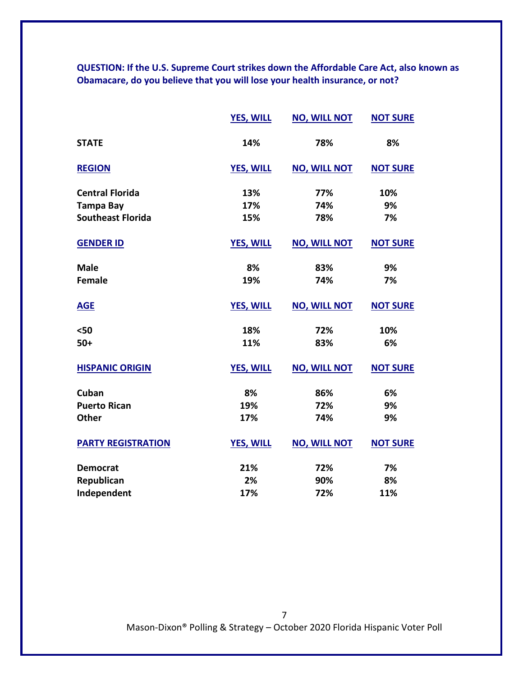**QUESTION: If the U.S. Supreme Court strikes down the Affordable Care Act, also known as Obamacare, do you believe that you will lose your health insurance, or not?**

|                           | <b>YES, WILL</b> | <b>NO, WILL NOT</b> | <b>NOT SURE</b> |
|---------------------------|------------------|---------------------|-----------------|
| <b>STATE</b>              | 14%              | 78%                 | 8%              |
| <b>REGION</b>             | <b>YES, WILL</b> | <b>NO, WILL NOT</b> | <b>NOT SURE</b> |
| <b>Central Florida</b>    | 13%              | 77%                 | 10%             |
| <b>Tampa Bay</b>          | 17%              | 74%                 | 9%              |
| <b>Southeast Florida</b>  | 15%              | 78%                 | 7%              |
| <b>GENDER ID</b>          | <b>YES, WILL</b> | <b>NO, WILL NOT</b> | <b>NOT SURE</b> |
| <b>Male</b>               | 8%               | 83%                 | 9%              |
| <b>Female</b>             | 19%              | 74%                 | 7%              |
| <b>AGE</b>                | <b>YES, WILL</b> | <b>NO, WILL NOT</b> | <b>NOT SURE</b> |
| $50$                      | 18%              | 72%                 | 10%             |
| $50+$                     | 11%              | 83%                 | 6%              |
| <b>HISPANIC ORIGIN</b>    | <b>YES, WILL</b> | <b>NO, WILL NOT</b> | <b>NOT SURE</b> |
| Cuban                     | 8%               | 86%                 | 6%              |
| <b>Puerto Rican</b>       | 19%              | 72%                 | 9%              |
| <b>Other</b>              | 17%              | 74%                 | 9%              |
| <b>PARTY REGISTRATION</b> | <b>YES, WILL</b> | <b>NO, WILL NOT</b> | <b>NOT SURE</b> |
| <b>Democrat</b>           | 21%              | 72%                 | 7%              |
| Republican                | 2%               | 90%                 | 8%              |
| Independent               | 17%              | 72%                 | 11%             |